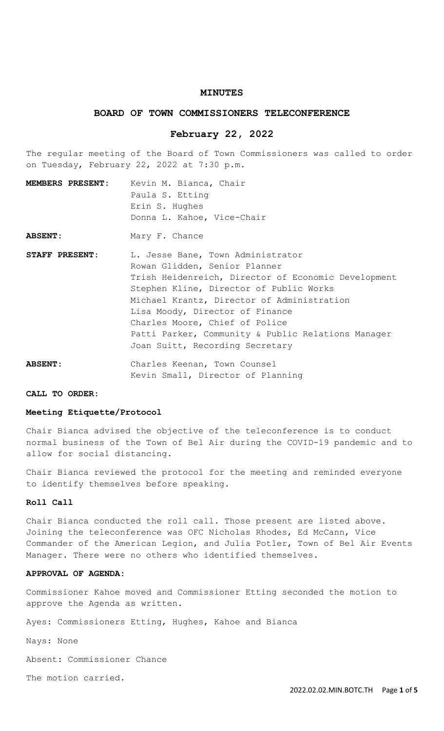### **MINUTES**

# **BOARD OF TOWN COMMISSIONERS TELECONFERENCE**

### **February 22, 2022**

The regular meeting of the Board of Town Commissioners was called to order on Tuesday, February 22, 2022 at 7:30 p.m.

- **MEMBERS PRESENT:** Kevin M. Bianca, Chair Paula S. Etting Erin S. Hughes Donna L. Kahoe, Vice-Chair
- ABSENT: Mary F. Chance
- STAFF PRESENT: L. Jesse Bane, Town Administrator Rowan Glidden, Senior Planner Trish Heidenreich, Director of Economic Development Stephen Kline, Director of Public Works Michael Krantz, Director of Administration Lisa Moody, Director of Finance Charles Moore, Chief of Police Patti Parker, Community & Public Relations Manager Joan Suitt, Recording Secretary
- **ABSENT:** Charles Keenan, Town Counsel Kevin Small, Director of Planning

## **CALL TO ORDER:**

### **Meeting Etiquette/Protocol**

Chair Bianca advised the objective of the teleconference is to conduct normal business of the Town of Bel Air during the COVID-19 pandemic and to allow for social distancing.

Chair Bianca reviewed the protocol for the meeting and reminded everyone to identify themselves before speaking.

## **Roll Call**

Chair Bianca conducted the roll call. Those present are listed above. Joining the teleconference was OFC Nicholas Rhodes, Ed McCann, Vice Commander of the American Legion, and Julia Potler, Town of Bel Air Events Manager. There were no others who identified themselves.

### **APPROVAL OF AGENDA:**

Commissioner Kahoe moved and Commissioner Etting seconded the motion to approve the Agenda as written.

Ayes: Commissioners Etting, Hughes, Kahoe and Bianca

Nays: None

Absent: Commissioner Chance

The motion carried.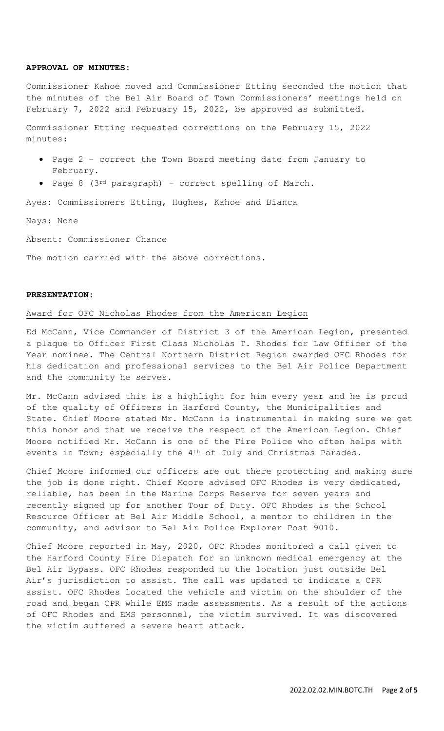### **APPROVAL OF MINUTES:**

Commissioner Kahoe moved and Commissioner Etting seconded the motion that the minutes of the Bel Air Board of Town Commissioners' meetings held on February 7, 2022 and February 15, 2022, be approved as submitted.

Commissioner Etting requested corrections on the February 15, 2022 minutes:

- Page 2 correct the Town Board meeting date from January to February.
- Page 8 (3rd paragraph) correct spelling of March.

Ayes: Commissioners Etting, Hughes, Kahoe and Bianca

Nays: None

Absent: Commissioner Chance

The motion carried with the above corrections.

## **PRESENTATION:**

#### Award for OFC Nicholas Rhodes from the American Legion

Ed McCann, Vice Commander of District 3 of the American Legion, presented a plaque to Officer First Class Nicholas T. Rhodes for Law Officer of the Year nominee. The Central Northern District Region awarded OFC Rhodes for his dedication and professional services to the Bel Air Police Department and the community he serves.

Mr. McCann advised this is a highlight for him every year and he is proud of the quality of Officers in Harford County, the Municipalities and State. Chief Moore stated Mr. McCann is instrumental in making sure we get this honor and that we receive the respect of the American Legion. Chief Moore notified Mr. McCann is one of the Fire Police who often helps with events in Town; especially the 4<sup>th</sup> of July and Christmas Parades.

Chief Moore informed our officers are out there protecting and making sure the job is done right. Chief Moore advised OFC Rhodes is very dedicated, reliable, has been in the Marine Corps Reserve for seven years and recently signed up for another Tour of Duty. OFC Rhodes is the School Resource Officer at Bel Air Middle School, a mentor to children in the community, and advisor to Bel Air Police Explorer Post 9010.

Chief Moore reported in May, 2020, OFC Rhodes monitored a call given to the Harford County Fire Dispatch for an unknown medical emergency at the Bel Air Bypass. OFC Rhodes responded to the location just outside Bel Air's jurisdiction to assist. The call was updated to indicate a CPR assist. OFC Rhodes located the vehicle and victim on the shoulder of the road and began CPR while EMS made assessments. As a result of the actions of OFC Rhodes and EMS personnel, the victim survived. It was discovered the victim suffered a severe heart attack.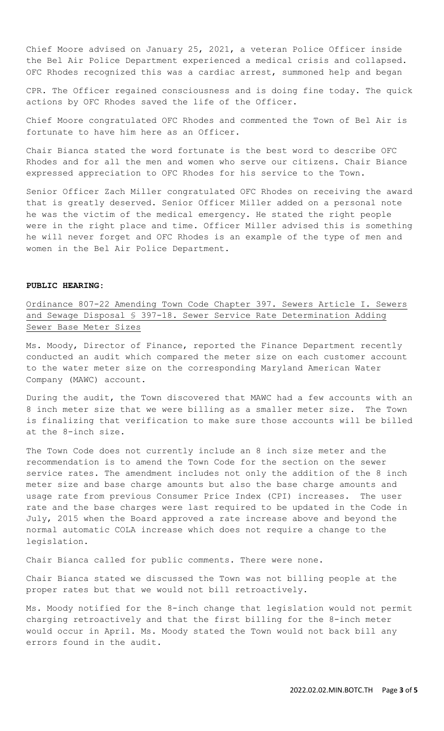Chief Moore advised on January 25, 2021, a veteran Police Officer inside the Bel Air Police Department experienced a medical crisis and collapsed. OFC Rhodes recognized this was a cardiac arrest, summoned help and began

CPR. The Officer regained consciousness and is doing fine today. The quick actions by OFC Rhodes saved the life of the Officer.

Chief Moore congratulated OFC Rhodes and commented the Town of Bel Air is fortunate to have him here as an Officer.

Chair Bianca stated the word fortunate is the best word to describe OFC Rhodes and for all the men and women who serve our citizens. Chair Biance expressed appreciation to OFC Rhodes for his service to the Town.

Senior Officer Zach Miller congratulated OFC Rhodes on receiving the award that is greatly deserved. Senior Officer Miller added on a personal note he was the victim of the medical emergency. He stated the right people were in the right place and time. Officer Miller advised this is something he will never forget and OFC Rhodes is an example of the type of men and women in the Bel Air Police Department.

### **PUBLIC HEARING:**

Ordinance 807-22 Amending Town Code Chapter 397. Sewers Article I. Sewers and Sewage Disposal § 397-18. Sewer Service Rate Determination Adding Sewer Base Meter Sizes

Ms. Moody, Director of Finance, reported the Finance Department recently conducted an audit which compared the meter size on each customer account to the water meter size on the corresponding Maryland American Water Company (MAWC) account.

During the audit, the Town discovered that MAWC had a few accounts with an 8 inch meter size that we were billing as a smaller meter size. The Town is finalizing that verification to make sure those accounts will be billed at the 8-inch size.

The Town Code does not currently include an 8 inch size meter and the recommendation is to amend the Town Code for the section on the sewer service rates. The amendment includes not only the addition of the 8 inch meter size and base charge amounts but also the base charge amounts and usage rate from previous Consumer Price Index (CPI) increases. The user rate and the base charges were last required to be updated in the Code in July, 2015 when the Board approved a rate increase above and beyond the normal automatic COLA increase which does not require a change to the legislation.

Chair Bianca called for public comments. There were none.

Chair Bianca stated we discussed the Town was not billing people at the proper rates but that we would not bill retroactively.

Ms. Moody notified for the 8-inch change that legislation would not permit charging retroactively and that the first billing for the 8-inch meter would occur in April. Ms. Moody stated the Town would not back bill any errors found in the audit.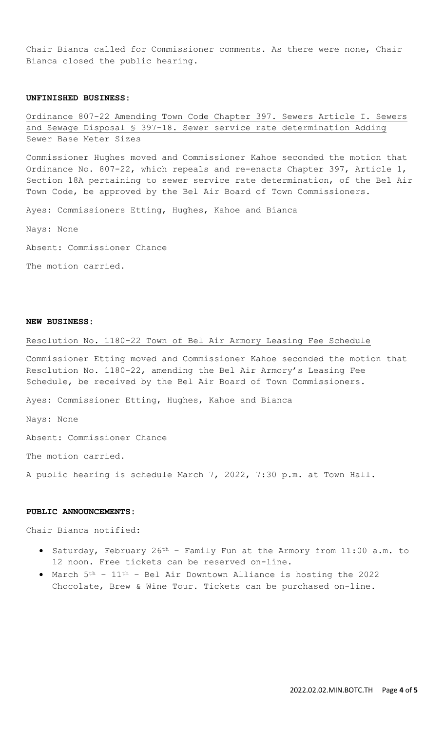Chair Bianca called for Commissioner comments. As there were none, Chair Bianca closed the public hearing.

### **UNFINISHED BUSINESS:**

Ordinance 807-22 Amending Town Code Chapter 397. Sewers Article I. Sewers and Sewage Disposal § 397-18. Sewer service rate determination Adding Sewer Base Meter Sizes

Commissioner Hughes moved and Commissioner Kahoe seconded the motion that Ordinance No. 807-22, which repeals and re-enacts Chapter 397, Article 1, Section 18A pertaining to sewer service rate determination, of the Bel Air Town Code, be approved by the Bel Air Board of Town Commissioners.

Ayes: Commissioners Etting, Hughes, Kahoe and Bianca

Nays: None

Absent: Commissioner Chance

The motion carried.

### **NEW BUSINESS:**

## Resolution No. 1180-22 Town of Bel Air Armory Leasing Fee Schedule

Commissioner Etting moved and Commissioner Kahoe seconded the motion that Resolution No. 1180-22, amending the Bel Air Armory's Leasing Fee Schedule, be received by the Bel Air Board of Town Commissioners.

Ayes: Commissioner Etting, Hughes, Kahoe and Bianca

Nays: None

Absent: Commissioner Chance

The motion carried.

A public hearing is schedule March 7, 2022, 7:30 p.m. at Town Hall.

### **PUBLIC ANNOUNCEMENTS:**

Chair Bianca notified:

- Saturday, February 26th Family Fun at the Armory from 11:00 a.m. to 12 noon. Free tickets can be reserved on-line.
- March 5th 11th Bel Air Downtown Alliance is hosting the 2022 Chocolate, Brew & Wine Tour. Tickets can be purchased on-line.